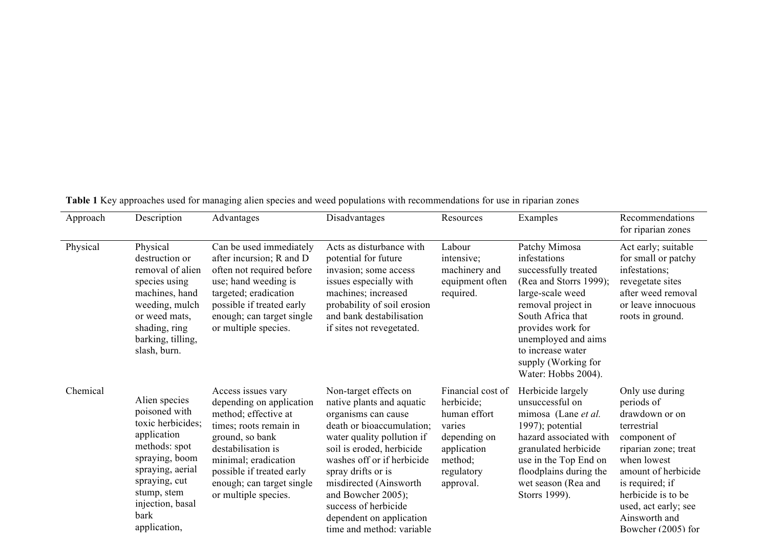| Approach | Description                                                                                                                                                                                           | Advantages                                                                                                                                                                                                                                          | Disadvantages                                                                                                                                                                                                                                                                                                                                         | Resources                                                                                                                      | Examples                                                                                                                                                                                                                                                      | Recommendations<br>for riparian zones                                                                                                                                                                                                                |
|----------|-------------------------------------------------------------------------------------------------------------------------------------------------------------------------------------------------------|-----------------------------------------------------------------------------------------------------------------------------------------------------------------------------------------------------------------------------------------------------|-------------------------------------------------------------------------------------------------------------------------------------------------------------------------------------------------------------------------------------------------------------------------------------------------------------------------------------------------------|--------------------------------------------------------------------------------------------------------------------------------|---------------------------------------------------------------------------------------------------------------------------------------------------------------------------------------------------------------------------------------------------------------|------------------------------------------------------------------------------------------------------------------------------------------------------------------------------------------------------------------------------------------------------|
|          |                                                                                                                                                                                                       |                                                                                                                                                                                                                                                     |                                                                                                                                                                                                                                                                                                                                                       |                                                                                                                                |                                                                                                                                                                                                                                                               |                                                                                                                                                                                                                                                      |
| Physical | Physical<br>destruction or<br>removal of alien<br>species using<br>machines, hand<br>weeding, mulch<br>or weed mats.<br>shading, ring<br>barking, tilling,<br>slash, burn.                            | Can be used immediately<br>after incursion; R and D<br>often not required before<br>use; hand weeding is<br>targeted; eradication<br>possible if treated early<br>enough; can target single<br>or multiple species.                                 | Acts as disturbance with<br>potential for future<br>invasion; some access<br>issues especially with<br>machines; increased<br>probability of soil erosion<br>and bank destabilisation<br>if sites not revegetated.                                                                                                                                    | Labour<br>intensive;<br>machinery and<br>equipment often<br>required.                                                          | Patchy Mimosa<br>infestations<br>successfully treated<br>(Rea and Storrs 1999);<br>large-scale weed<br>removal project in<br>South Africa that<br>provides work for<br>unemployed and aims<br>to increase water<br>supply (Working for<br>Water: Hobbs 2004). | Act early; suitable<br>for small or patchy<br>infestations;<br>revegetate sites<br>after weed removal<br>or leave innocuous<br>roots in ground.                                                                                                      |
| Chemical | Alien species<br>poisoned with<br>toxic herbicides;<br>application<br>methods: spot<br>spraying, boom<br>spraying, aerial<br>spraying, cut<br>stump, stem<br>injection, basal<br>bark<br>application, | Access issues vary<br>depending on application<br>method; effective at<br>times; roots remain in<br>ground, so bank<br>destabilisation is<br>minimal; eradication<br>possible if treated early<br>enough; can target single<br>or multiple species. | Non-target effects on<br>native plants and aquatic<br>organisms can cause<br>death or bioaccumulation;<br>water quality pollution if<br>soil is eroded, herbicide<br>washes off or if herbicide<br>spray drifts or is<br>misdirected (Ainsworth<br>and Bowcher 2005);<br>success of herbicide<br>dependent on application<br>time and method variable | Financial cost of<br>herbicide;<br>human effort<br>varies<br>depending on<br>application<br>method;<br>regulatory<br>approval. | Herbicide largely<br>unsuccessful on<br>mimosa (Lane et al.<br>1997); potential<br>hazard associated with<br>granulated herbicide<br>use in the Top End on<br>floodplains during the<br>wet season (Rea and<br>Storrs 1999).                                  | Only use during<br>periods of<br>drawdown or on<br>terrestrial<br>component of<br>riparian zone; treat<br>when lowest<br>amount of herbicide<br>is required; if<br>herbicide is to be<br>used, act early; see<br>Ainsworth and<br>Bowcher (2005) for |

**Table 1** Key approaches used for managing alien species and weed populations with recommendations for use in riparian zones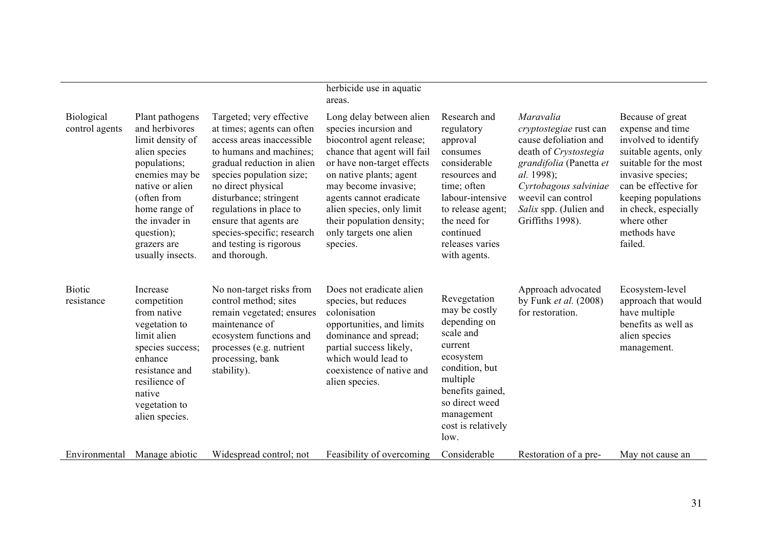|                                     |                                                                                                                                                                                                                                |                                                                                                                                                                                                                                                                                                                                                         | herbicide use in aquatic<br>areas.                                                                                                                                                                                                                                                                                        |                                                                                                                                                                                                             |                                                                                                                                                                                                                                    |                                                                                                                                                                                                                                                      |
|-------------------------------------|--------------------------------------------------------------------------------------------------------------------------------------------------------------------------------------------------------------------------------|---------------------------------------------------------------------------------------------------------------------------------------------------------------------------------------------------------------------------------------------------------------------------------------------------------------------------------------------------------|---------------------------------------------------------------------------------------------------------------------------------------------------------------------------------------------------------------------------------------------------------------------------------------------------------------------------|-------------------------------------------------------------------------------------------------------------------------------------------------------------------------------------------------------------|------------------------------------------------------------------------------------------------------------------------------------------------------------------------------------------------------------------------------------|------------------------------------------------------------------------------------------------------------------------------------------------------------------------------------------------------------------------------------------------------|
| <b>Biological</b><br>control agents | Plant pathogens<br>and herbivores<br>limit density of<br>alien species<br>populations;<br>enemies may be<br>native or alien<br>(often from<br>home range of<br>the invader in<br>question);<br>grazers are<br>usually insects. | Targeted; very effective<br>at times; agents can often<br>access areas inaccessible<br>to humans and machines;<br>gradual reduction in alien<br>species population size;<br>no direct physical<br>disturbance; stringent<br>regulations in place to<br>ensure that agents are<br>species-specific; research<br>and testing is rigorous<br>and thorough. | Long delay between alien<br>species incursion and<br>biocontrol agent release;<br>chance that agent will fail<br>or have non-target effects<br>on native plants; agent<br>may become invasive;<br>agents cannot eradicate<br>alien species, only limit<br>their population density;<br>only targets one alien<br>species. | Research and<br>regulatory<br>approval<br>consumes<br>considerable<br>resources and<br>time; often<br>labour-intensive<br>to release agent;<br>the need for<br>continued<br>releases varies<br>with agents. | Maravalia<br>cryptostegiae rust can<br>cause defoliation and<br>death of Crystostegia<br>grandifolia (Panetta et<br><i>al.</i> 1998);<br>Cyrtobagous salviniae<br>weevil can control<br>Salix spp. (Julien and<br>Griffiths 1998). | Because of great<br>expense and time<br>involved to identify<br>suitable agents, only<br>suitable for the most<br>invasive species;<br>can be effective for<br>keeping populations<br>in check, especially<br>where other<br>methods have<br>failed. |
| <b>Biotic</b><br>resistance         | Increase<br>competition<br>from native<br>vegetation to<br>limit alien<br>species success;<br>enhance<br>resistance and<br>resilience of<br>native<br>vegetation to<br>alien species.                                          | No non-target risks from<br>control method; sites<br>remain vegetated; ensures<br>maintenance of<br>ecosystem functions and<br>processes (e.g. nutrient<br>processing, bank<br>stability).                                                                                                                                                              | Does not eradicate alien<br>species, but reduces<br>colonisation<br>opportunities, and limits<br>dominance and spread;<br>partial success likely,<br>which would lead to<br>coexistence of native and<br>alien species.                                                                                                   | Revegetation<br>may be costly<br>depending on<br>scale and<br>current<br>ecosystem<br>condition, but<br>multiple<br>benefits gained,<br>so direct weed<br>management<br>cost is relatively<br>low.          | Approach advocated<br>by Funk et al. $(2008)$<br>for restoration.                                                                                                                                                                  | Ecosystem-level<br>approach that would<br>have multiple<br>benefits as well as<br>alien species<br>management.                                                                                                                                       |
| Environmental                       | Manage abiotic                                                                                                                                                                                                                 | Widespread control; not                                                                                                                                                                                                                                                                                                                                 | Feasibility of overcoming                                                                                                                                                                                                                                                                                                 | Considerable                                                                                                                                                                                                | Restoration of a pre-                                                                                                                                                                                                              | May not cause an                                                                                                                                                                                                                                     |